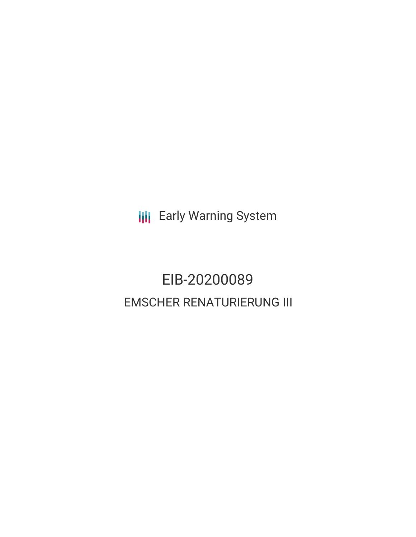**III** Early Warning System

## EIB-20200089 EMSCHER RENATURIERUNG III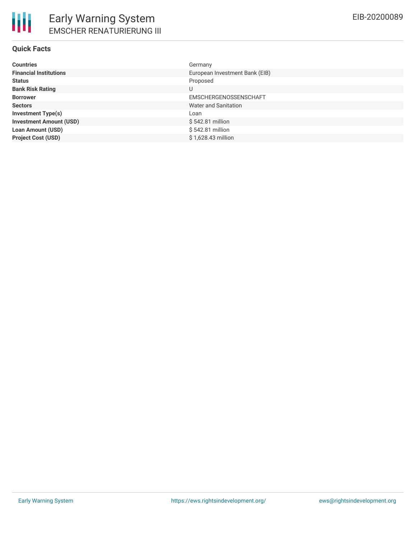| <b>Countries</b>               | Germany                        |
|--------------------------------|--------------------------------|
| <b>Financial Institutions</b>  | European Investment Bank (EIB) |
| <b>Status</b>                  | Proposed                       |
| <b>Bank Risk Rating</b>        | U                              |
| <b>Borrower</b>                | EMSCHERGENOSSENSCHAFT          |
| <b>Sectors</b>                 | Water and Sanitation           |
| <b>Investment Type(s)</b>      | Loan                           |
| <b>Investment Amount (USD)</b> | $$542.81$ million              |
| <b>Loan Amount (USD)</b>       | \$542.81 million               |
| <b>Project Cost (USD)</b>      | \$1.628.43 million             |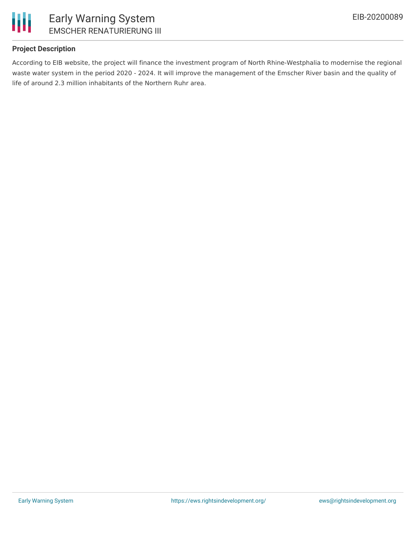

### **Project Description**

According to EIB website, the project will finance the investment program of North Rhine-Westphalia to modernise the regional waste water system in the period 2020 - 2024. It will improve the management of the Emscher River basin and the quality of life of around 2.3 million inhabitants of the Northern Ruhr area.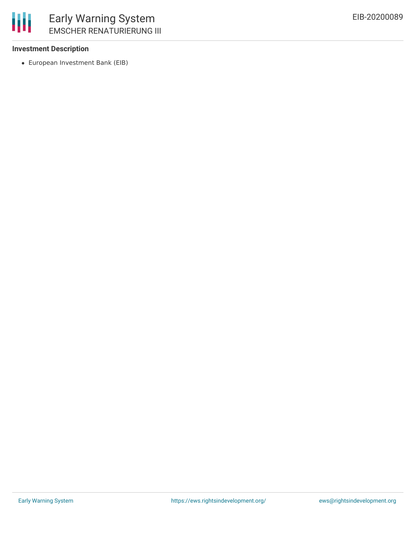

#### **Investment Description**

European Investment Bank (EIB)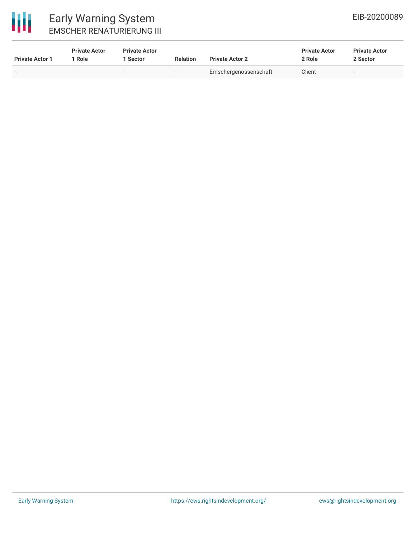# 冊

### Early Warning System EMSCHER RENATURIERUNG III

| <b>Private Actor 1</b> | <b>Private Actor</b><br>Role | <b>Private Actor</b><br>Sector | <b>Relation</b>          | <b>Private Actor 2</b> | <b>Private Actor</b><br>2 Role | <b>Private Actor</b><br>2 Sector |  |
|------------------------|------------------------------|--------------------------------|--------------------------|------------------------|--------------------------------|----------------------------------|--|
|                        | -                            | $\sim$                         | $\overline{\phantom{a}}$ | Emschergenossenschaft  | Client                         | $\overline{\phantom{a}}$         |  |